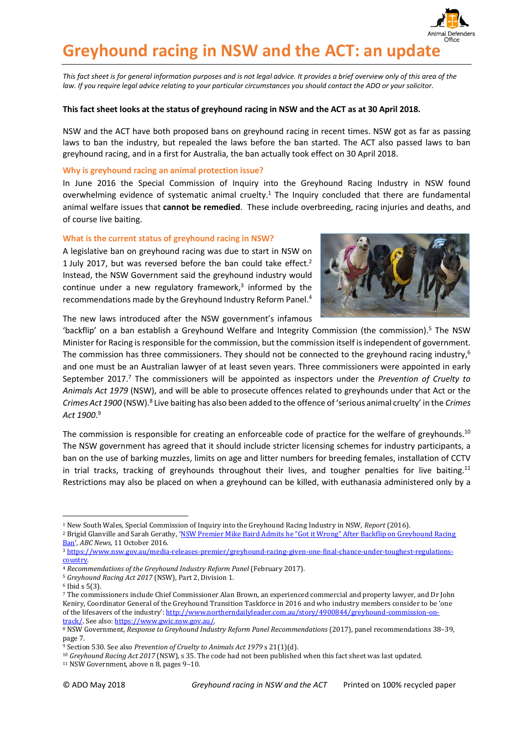

*This fact sheet is for general information purposes and is not legal advice. It provides a brief overview only of this area of the law. If you require legal advice relating to your particular circumstances you should contact the ADO or your solicitor.*

### **This fact sheet looks at the status of greyhound racing in NSW and the ACT as at 30 April 2018.**

NSW and the ACT have both proposed bans on greyhound racing in recent times. NSW got as far as passing laws to ban the industry, but repealed the laws before the ban started. The ACT also passed laws to ban greyhound racing, and in a first for Australia, the ban actually took effect on 30 April 2018.

# **Why is greyhound racing an animal protection issue?**

In June 2016 the Special Commission of Inquiry into the Greyhound Racing Industry in NSW found overwhelming evidence of systematic animal cruelty.<sup>1</sup> The Inquiry concluded that there are fundamental animal welfare issues that **cannot be remedied**. These include overbreeding, racing injuries and deaths, and of course live baiting.

# **What is the current status of greyhound racing in NSW?**

A legislative ban on greyhound racing was due to start in NSW on 1 July 2017, but was reversed before the ban could take effect. 2 Instead, the NSW Government said the greyhound industry would continue under a new regulatory framework, 3 informed by the recommendations made by the Greyhound Industry Reform Panel.<sup>4</sup>



The new laws introduced after the NSW government's infamous

'backflip' on a ban establish a Greyhound Welfare and Integrity Commission (the commission).<sup>5</sup> The NSW Minister for Racing is responsible for the commission, but the commission itself is independent of government. The commission has three commissioners. They should not be connected to the greyhound racing industry,<sup>6</sup> and one must be an Australian lawyer of at least seven years. Three commissioners were appointed in early September 2017. <sup>7</sup> The commissioners will be appointed as inspectors under the *Prevention of Cruelty to Animals Act 1979* (NSW), and will be able to prosecute offences related to greyhounds under that Act or the Crimes Act 1900 (NSW).<sup>8</sup> Live baiting has also been added to the offence of 'serious animal cruelty' in the *Crimes Act 1900*. 9

The commission is responsible for creating an enforceable code of practice for the welfare of greyhounds.<sup>10</sup> The NSW government has agreed that it should include stricter licensing schemes for industry participants, a ban on the use of barking muzzles, limits on age and litter numbers for breeding females, installation of CCTV in trial tracks, tracking of greyhounds throughout their lives, and tougher penalties for live baiting.<sup>11</sup> Restrictions may also be placed on when a greyhound can be killed, with euthanasia administered only by a

-

<sup>1</sup> New South Wales, Special Commission of Inquiry into the Greyhound Racing Industry in NSW, *Report* (2016).

<sup>&</sup>lt;sup>2</sup> Brigid Glanville and Sarah Gerathy, 'NSW Premier Mike Baird Admits he "Got it Wrong" After Backflip on Greyhound Racing [Ban](http://www.abc.net.au/news/2016-10-11/greyhound-ban-baird-government-confirms-backflip/7921000)', *ABC News*, 11 October 2016.

<sup>3</sup> [https://www.nsw.gov.au/media-releases-premier/greyhound-racing-given-one-final-chance-under-toughest-regulations](https://www.nsw.gov.au/media-releases-premier/greyhound-racing-given-one-final-chance-under-toughest-regulations-country)[country.](https://www.nsw.gov.au/media-releases-premier/greyhound-racing-given-one-final-chance-under-toughest-regulations-country)

<sup>&</sup>lt;sup>4</sup> Recommendations of the Greyhound Industry Reform Panel (February 2017).

<sup>5</sup> *Greyhound Racing Act 2017* (NSW), Part 2, Division 1.

<sup>6</sup> Ibid s 5(3).

<sup>7</sup> The commissioners include Chief Commissioner Alan Brown, an experienced commercial and property lawyer, and Dr John Keniry, Coordinator General of the Greyhound Transition Taskforce in 2016 and who industry members consider to be 'one of the lifesavers of the industry': [http://www.northerndailyleader.com.au/story/4900844/greyhound-commission-on](http://www.northerndailyleader.com.au/story/4900844/greyhound-commission-on-track/)[track/.](http://www.northerndailyleader.com.au/story/4900844/greyhound-commission-on-track/) See also: [https://www.gwic.nsw.gov.au/.](https://www.gwic.nsw.gov.au/) 

<sup>8</sup> NSW Government, *Response to Greyhound Industry Reform Panel Recommendations* (2017), panel recommendations 38–39, page 7.

<sup>9</sup> Section 530. See also *Prevention of Cruelty to Animals Act 1979* s 21(1)(d).

<sup>10</sup> *Greyhound Racing Act 2017* (NSW), s 35. The code had not been published when this fact sheet was last updated.

<sup>11</sup> NSW Government, above n 8, pages 9–10.